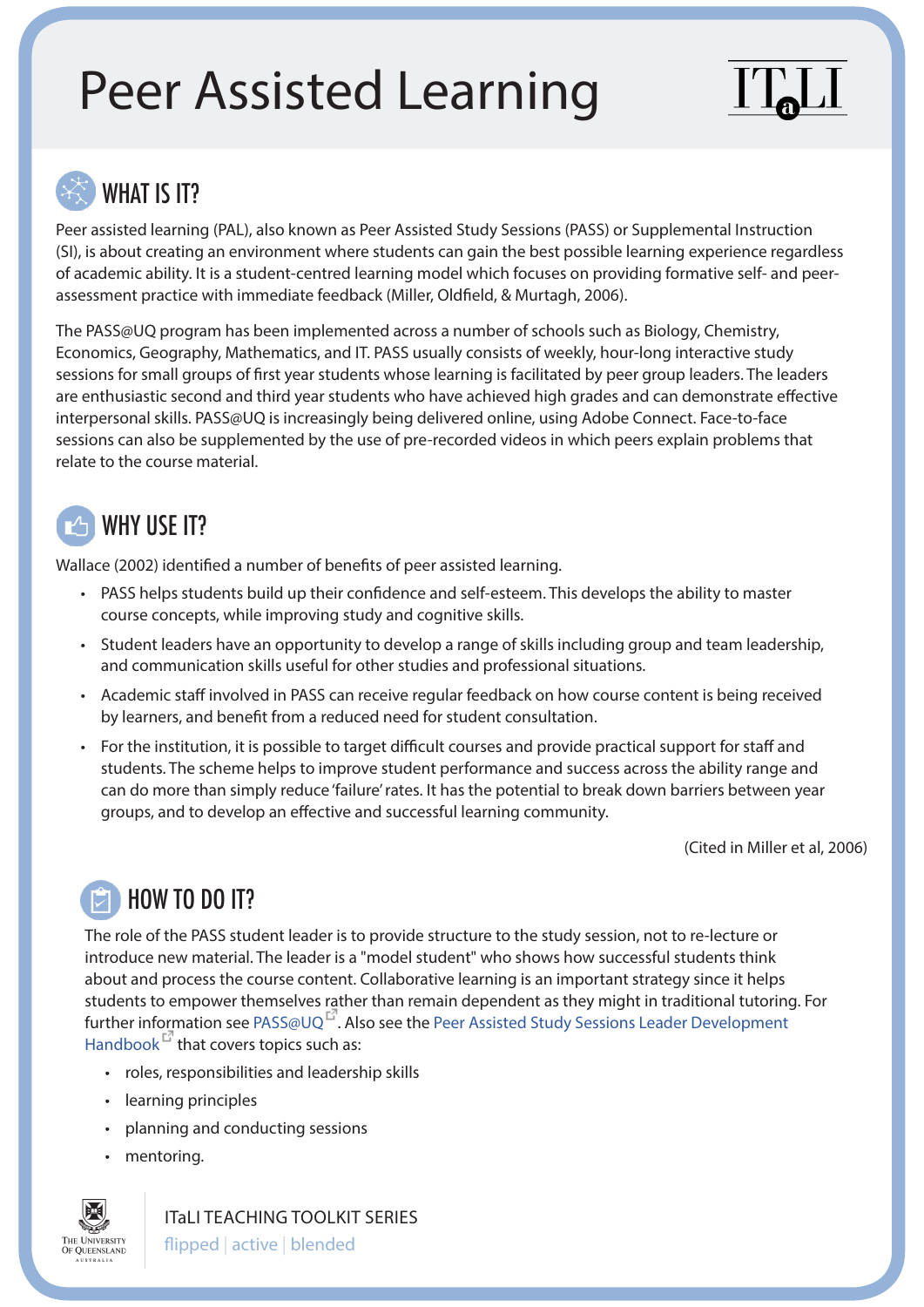# Peer Assisted Learning



#### WHAT IS IT?

Peer assisted learning (PAL), also known as Peer Assisted Study Sessions (PASS) or Supplemental Instruction (SI), is about creating an environment where students can gain the best possible learning experience regardless of academic ability. It is a student-centred learning model which focuses on providing formative self- and peerassessment practice with immediate feedback (Miller, Oldfield, & Murtagh, 2006).

The PASS@UQ program has been implemented across a number of schools such as Biology, Chemistry, Economics, Geography, Mathematics, and IT. PASS usually consists of weekly, hour-long interactive study sessions for small groups of first year students whose learning is facilitated by peer group leaders. The leaders are enthusiastic second and third year students who have achieved high grades and can demonstrate effective interpersonal skills. PASS@UQ is increasingly being delivered online, using Adobe Connect. Face-to-face sessions can also be supplemented by the use of pre-recorded videos in which peers explain problems that relate to the course material.

## WHY USE IT?

Wallace (2002) identified a number of benefits of peer assisted learning.

- PASS helps students build up their confidence and self-esteem. This develops the ability to master course concepts, while improving study and cognitive skills.
- Student leaders have an opportunity to develop a range of skills including group and team leadership, and communication skills useful for other studies and professional situations.
- Academic staff involved in PASS can receive regular feedback on how course content is being received by learners, and benefit from a reduced need for student consultation.
- For the institution, it is possible to target difficult courses and provide practical support for staff and students. The scheme helps to improve student performance and success across the ability range and can do more than simply reduce 'failure' rates. It has the potential to break down barriers between year groups, and to develop an effective and successful learning community.

(Cited in Miller et al, 2006)

## HOW TO DO IT?

The role of the PASS student leader is to provide structure to the study session, not to re-lecture or introduce new material. The leader is a "model student" who shows how successful students think about and process the course content. Collaborative learning is an important strategy since it helps students to empower themselves rather than remain dependent as they might in traditional tutoring. For further information see [PASS@UQ](http://www.science.uq.edu.au/peer-assisted-study/content/front-page)<sup>L''</sup>. Also see the Peer Assisted Study Sessions Leader Development [Handbook](http://www.science.uq.edu.au/peer-assisted-study/filething/get/310/PASS-Leader-Development-Handbook.pdf)  $F$  that covers topics such as:

- roles, responsibilities and leadership skills
- learning principles
- planning and conducting sessions
- mentoring.



ITaLI TEACHING TOOLKIT SERIES

flipped | active | blended